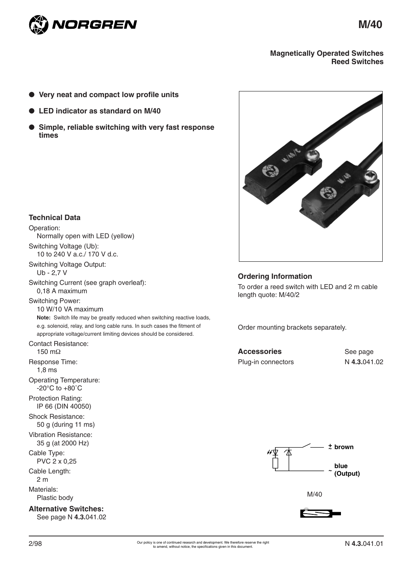

**M/40**

### **Magnetically Operated Switches Reed Switches**

- **Very neat and compact low profile units**
- **LED** indicator as standard on M/40
- **Simple, reliable switching with very fast response times**



### **Ordering Information**

To order a reed switch with LED and 2 m cable length quote: M/40/2

Order mounting brackets separately.

| Accessories        |  |
|--------------------|--|
| Plug-in connectors |  |

See page N 4.3.041.02



M/40



# **Technical Data**

Operation: Normally open with LED (yellow) Switching Voltage (Ub): 10 to 240 V a.c./ 170 V d.c. Switching Voltage Output: Ub - 2,7 V Switching Current (see graph overleaf): 0,18 A maximum Switching Power: 10 W/10 VA maximum **Note:** Switch life may be greatly reduced when switching reactive loads, e.g. solenoid, relay, and long cable runs. In such cases the fitment of appropriate voltage/current limiting devices should be considered. Contact Resistance: 150 mΩ Response Time: 1,8 ms Operating Temperature: -20°C to +80˚C Protection Rating: IP 66 (DIN 40050) Shock Resistance: 50 g (during 11 ms) Vibration Resistance: 35 g (at 2000 Hz) Cable Type: PVC 2 x 0,25 Cable Length: 2 m Materials: Plastic body

**Alternative Switches:** See page N **4.3.**041.02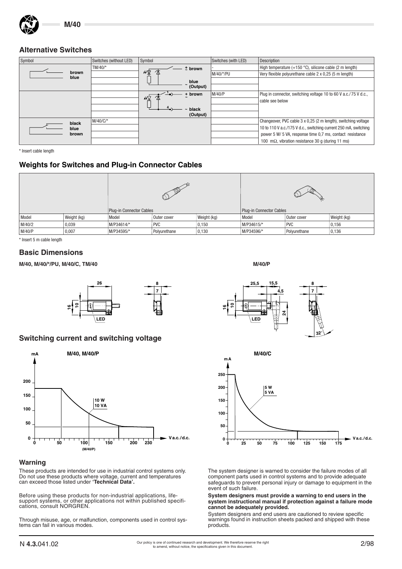

## **Alternative Switches**

| Symbol        | Switches (without LED) | Symbol    | Switches (with LED) | Description                                                       |
|---------------|------------------------|-----------|---------------------|-------------------------------------------------------------------|
|               | TM/40/*                | $±$ brown |                     | High temperature $(+150 \degree C)$ , silicone cable (2 m length) |
| brown<br>blue |                        | µ√∆       | M/40/*/PU           | Very flexible polyurethane cable 2 x 0,25 (5 m length)            |
|               |                        | blue      |                     |                                                                   |
|               |                        | (Output)  |                     |                                                                   |
|               |                        | + brown   | M/40/P              | Plug in connector, switching voltage 10 to 60 V a.c./75 V d.c.,   |
|               |                        | ₩Д        |                     | cable see below                                                   |
|               |                        | black     |                     |                                                                   |
|               |                        | (Output)  |                     |                                                                   |
| black         | M/40/C/*               |           |                     | Changeover, PVC cable 3 x 0,25 (2 m length), switching voltage    |
| blue          |                        |           |                     | 10 to 110 V a.c./175 V d.c., switching current 250 mA, switching  |
| brown         |                        |           |                     | power 5 W/ 5 VA, response time 0.7 ms, contact resistance         |
|               |                        |           |                     | 100 m $\Omega$ , vibration resistance 30 q (during 11 ms)         |

\* Insert cable length

# **Weights for Switches and Plug-in Connector Cables**

|        | $\sqrt{6}$  |                          | ₩            |                          |            |              |             |
|--------|-------------|--------------------------|--------------|--------------------------|------------|--------------|-------------|
|        |             | Plug-in Connector Cables |              | Plug-in Connector Cables |            |              |             |
| Model  | Weight (kg) | Model                    | Outer cover  | Weight (kg)              | Model      | Outer cover  | Weight (kg) |
| M/40/2 | 0,039       | M/P34614/*               | <b>PVC</b>   | 0,150                    | M/P34615/* | <b>PVC</b>   | 0,156       |
| M/40/P | 0,007       | M/P34595/*               | Polyurethane | 0,130                    | M/P34596/* | Polyurethane | 0,136       |

\* Insert 5 m cable length

#### **Basic Dimensions**

**M/40, M/40/\*/PU, M/40/C, TM/40 M/40/P**



# **Switching current and switching voltage**



#### **Warning**

These products are intended for use in industrial control systems only. Do not use these products where voltage, current and temperatures can exceed those listed under **'Technical Data'.**

Before using these products for non-industrial applications, lifesupport systems, or other applications not within published specifications, consult NORGREN.

Through misuse, age, or malfunction, components used in control systems can fail in various modes.





The system designer is warned to consider the failure modes of all component parts used in control systems and to provide adequate safeguards to prevent personal injury or damage to equipment in the event of such failure.

#### **System designers must provide a warning to end users in the system instructional manual if protection against a failure mode cannot be adequately provided.**

System designers and end users are cautioned to review specific warnings found in instruction sheets packed and shipped with these products.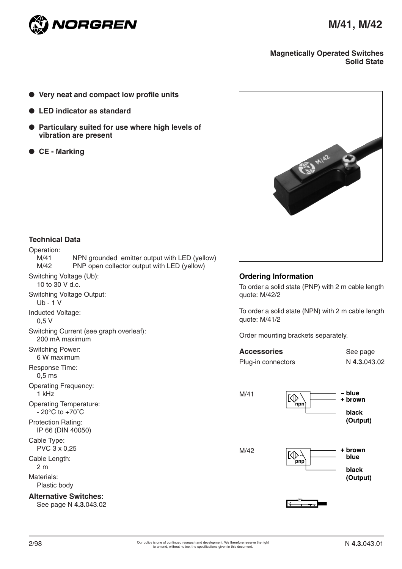

### **Magnetically Operated Switches Solid State**

- **Very neat and compact low profile units**
- **LED** indicator as standard
- **Particulary suited for use where high levels of vibration are present**
- **CE Marking**



## **Technical Data**

| Operation:                                                          |                                               |
|---------------------------------------------------------------------|-----------------------------------------------|
| M/41                                                                | NPN grounded emitter output with LED (yellow) |
| M/42                                                                | PNP open collector output with LED (yellow)   |
| Switching Voltage (Ub):<br>10 to 30 V d.c.                          |                                               |
| <b>Switching Voltage Output:</b><br>$Ub - 1 V$                      |                                               |
| Inducted Voltage:<br>0.5V                                           |                                               |
| 200 mA maximum                                                      | Switching Current (see graph overleaf):       |
| <b>Switching Power:</b><br>6 W maximum                              |                                               |
| Response Time:<br>0.5 <sub>ms</sub>                                 |                                               |
| <b>Operating Frequency:</b><br>$1$ kHz                              |                                               |
| <b>Operating Temperature:</b><br>$-20^{\circ}$ C to $+70^{\circ}$ C |                                               |
| Protection Rating:<br>IP 66 (DIN 40050)                             |                                               |
| Cable Type:<br>PVC 3 x 0,25                                         |                                               |
| Cable Length:<br>2 <sub>m</sub>                                     |                                               |
| Materials:<br>Plastic body                                          |                                               |
| <b>Alternative Switches:</b>                                        |                                               |

See page N **4.3.**043.02

## **Ordering Information**

To order a solid state (PNP) with 2 m cable length quote: M/42/2

To order a solid state (NPN) with 2 m cable length quote: M/41/2

Order mounting brackets separately.

| <b>Accessories</b> | See page     |
|--------------------|--------------|
| Plug-in connectors | N 4.3.043.02 |